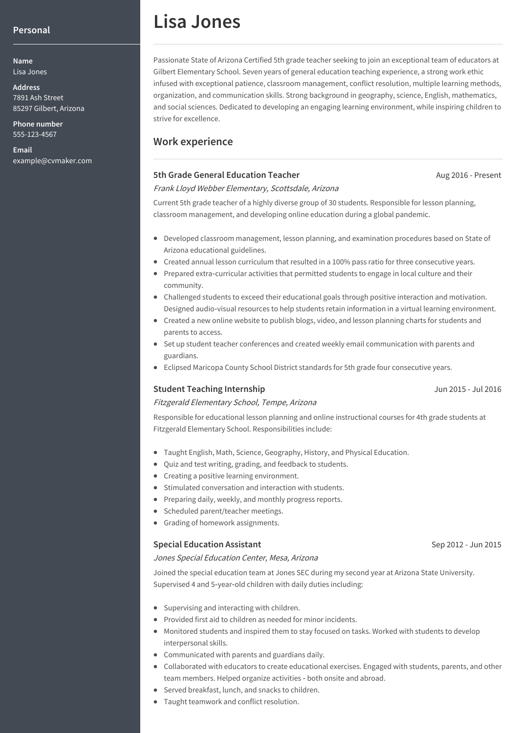#### **Personal**

**Name** Lisa Jones

**Address** 7891 Ash Street 85297 Gilbert, Arizona

**Phone number** 555-123-4567

**Email** example@cvmaker.com

# **Lisa Jones**

Passionate State of Arizona Certified 5th grade teacher seeking to join an exceptional team of educators at Gilbert Elementary School. Seven years of general education teaching experience, a strong work ethic infused with exceptional patience, classroom management, conflict resolution, multiple learning methods, organization, and communication skills. Strong background in geography, science, English, mathematics, and social sciences. Dedicated to developing an engaging learning environment, while inspiring children to strive for excellence.

# **Work experience**

#### **5th Grade General Education Teacher**

Aug 2016 - Present

#### Frank Lloyd Webber Elementary, Scottsdale, Arizona

Current 5th grade teacher of a highly diverse group of 30 students. Responsible for lesson planning, classroom management, and developing online education during a global pandemic.

- Developed classroom management, lesson planning, and examination procedures based on State of Arizona educational guidelines.
- Created annual lesson curriculum that resulted in a 100% pass ratio for three consecutive years.
- Prepared extra-curricular activities that permitted students to engage in local culture and their community.
- Challenged students to exceed their educational goals through positive interaction and motivation. Designed audio‑visual resources to help students retain information in a virtual learning environment.
- Created a new online website to publish blogs, video, and lesson planning charts for students and parents to access.
- Set up student teacher conferences and created weekly email communication with parents and guardians.
- Eclipsed Maricopa County School District standards for 5th grade four consecutive years.

#### **Student Teaching Internship**

#### Fitzgerald Elementary School, Tempe, Arizona

Responsible for educational lesson planning and online instructional courses for 4th grade students at Fitzgerald Elementary School. Responsibilities include:

- Taught English, Math, Science, Geography, History, and Physical Education.
- Quiz and test writing, grading, and feedback to students.
- Creating a positive learning environment.
- Stimulated conversation and interaction with students.
- Preparing daily, weekly, and monthly progress reports.
- Scheduled parent/teacher meetings.
- Grading of homework assignments.

#### **Special Education Assistant**

#### Jones Special Education Center, Mesa, Arizona

Joined the special education team at Jones SEC during my second year at Arizona State University. Supervised 4 and 5-year-old children with daily duties including:

- Supervising and interacting with children.
- Provided first aid to children as needed for minor incidents.
- Monitored students and inspired them to stay focused on tasks. Worked with students to develop interpersonal skills.
- Communicated with parents and guardians daily.
- Collaborated with educators to create educational exercises. Engaged with students, parents, and other team members. Helped organize activities ‑ both onsite and abroad.
- Served breakfast, lunch, and snacks to children.
- Taught teamwork and conflict resolution.

### Jun 2015 - Jul 2016

#### Sep 2012 - Jun 2015